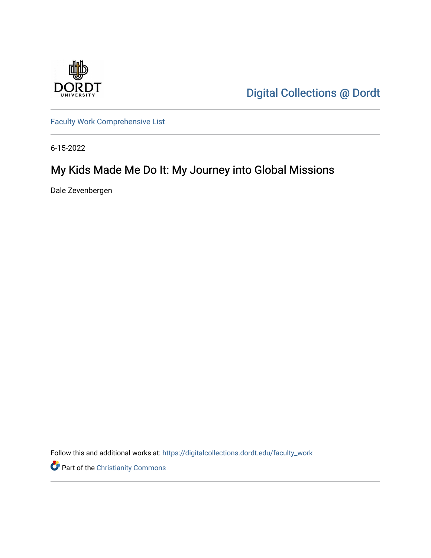

[Digital Collections @ Dordt](https://digitalcollections.dordt.edu/) 

[Faculty Work Comprehensive List](https://digitalcollections.dordt.edu/faculty_work)

6-15-2022

# My Kids Made Me Do It: My Journey into Global Missions

Dale Zevenbergen

Follow this and additional works at: [https://digitalcollections.dordt.edu/faculty\\_work](https://digitalcollections.dordt.edu/faculty_work?utm_source=digitalcollections.dordt.edu%2Ffaculty_work%2F1395&utm_medium=PDF&utm_campaign=PDFCoverPages) 

Part of the [Christianity Commons](https://network.bepress.com/hgg/discipline/1181?utm_source=digitalcollections.dordt.edu%2Ffaculty_work%2F1395&utm_medium=PDF&utm_campaign=PDFCoverPages)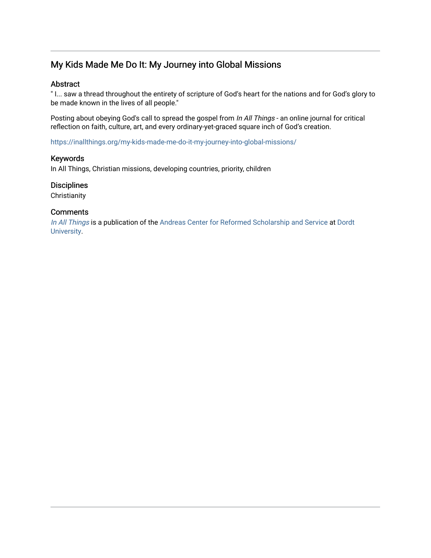## My Kids Made Me Do It: My Journey into Global Missions

#### Abstract

" I... saw a thread throughout the entirety of scripture of God's heart for the nations and for God's glory to be made known in the lives of all people."

Posting about obeying God's call to spread the gospel from In All Things - an online journal for critical reflection on faith, culture, art, and every ordinary-yet-graced square inch of God's creation.

<https://inallthings.org/my-kids-made-me-do-it-my-journey-into-global-missions/>

#### Keywords

In All Things, Christian missions, developing countries, priority, children

#### **Disciplines**

**Christianity** 

#### **Comments**

[In All Things](http://inallthings.org/) is a publication of the [Andreas Center for Reformed Scholarship and Service](http://www.dordt.edu/services_support/andreas_center/) at Dordt [University](http://www.dordt.edu/).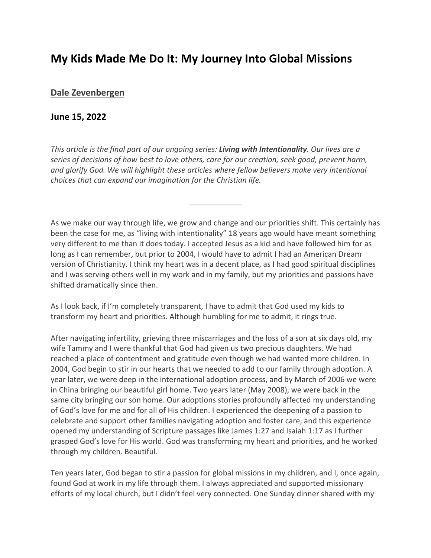# **My Kids Made Me Do It: My Journey Into Global Missions**

### **[Dale Zevenbergen](https://inallthings.org/author/dale-zevenbergen/)**

### **June 15, 2022**

*This article is the final part of our ongoing series: Living with Intentionality. Our lives are a series of decisions of how best to love others, care for our creation, seek good, prevent harm, and glorify God. We will highlight these articles where fellow believers make very intentional choices that can expand our imagination for the Christian life.*

As we make our way through life, we grow and change and our priorities shift. This certainly has been the case for me, as "living with intentionality" 18 years ago would have meant something very different to me than it does today. I accepted Jesus as a kid and have followed him for as long as I can remember, but prior to 2004, I would have to admit I had an American Dream version of Christianity. I think my heart was in a decent place, as I had good spiritual disciplines and I was serving others well in my work and in my family, but my priorities and passions have shifted dramatically since then.

As I look back, if I'm completely transparent, I have to admit that God used my kids to transform my heart and priorities. Although humbling for me to admit, it rings true.

After navigating infertility, grieving three miscarriages and the loss of a son at six days old, my wife Tammy and I were thankful that God had given us two precious daughters. We had reached a place of contentment and gratitude even though we had wanted more children. In 2004, God begin to stir in our hearts that we needed to add to our family through adoption. A year later, we were deep in the international adoption process, and by March of 2006 we were in China bringing our beautiful girl home. Two years later (May 2008), we were back in the same city bringing our son home. Our adoptions stories profoundly affected my understanding of God's love for me and for all of His children. I experienced the deepening of a passion to celebrate and support other families navigating adoption and foster care, and this experience opened my understanding of Scripture passages like James 1:27 and Isaiah 1:17 as I further grasped God's love for His world. God was transforming my heart and priorities, and he worked through my children. Beautiful.

Ten years later, God began to stir a passion for global missions in my children, and I, once again, found God at work in my life through them. I always appreciated and supported missionary efforts of my local church, but I didn't feel very connected. One Sunday dinner shared with my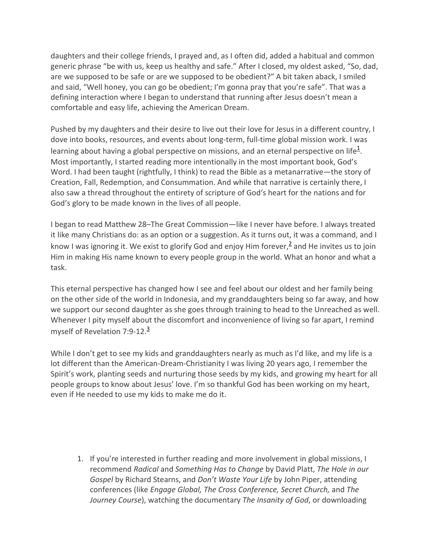daughters and their college friends, I prayed and, as I often did, added a habitual and common generic phrase "be with us, keep us healthy and safe." After I closed, my oldest asked, "So, dad, are we supposed to be safe or are we supposed to be obedient?" A bit taken aback, I smiled and said, "Well honey, you can go be obedient; I'm gonna pray that you're safe". That was a defining interaction where I began to understand that running after Jesus doesn't mean a comfortable and easy life, achieving the American Dream.

Pushed by my daughters and their desire to live out their love for Jesus in a different country, I dove into books, resources, and events about long-term, full-time global mission work. I was learning about having a global perspective on missions, and an eternal perspective on life $^{\underline{1}}$ . Most importantly, I started reading more intentionally in the most important book, God's Word. I had been taught (rightfully, I think) to read the Bible as a metanarrative—the story of Creation, Fall, Redemption, and Consummation. And while that narrative is certainly there, I also saw a thread throughout the entirety of scripture of God's heart for the nations and for God's glory to be made known in the lives of all people.

I began to read Matthew 28–The Great Commission—like I never have before. I always treated it like many Christians do: as an option or a suggestion. As it turns out, it was a command, and I know I was ignoring it. We exist to glorify God and enjoy Him forever,  $\frac{2}{3}$  and He invites us to join Him in making His name known to every people group in the world. What an honor and what a task.

This eternal perspective has changed how I see and feel about our oldest and her family being on the other side of the world in Indonesia, and my granddaughters being so far away, and how we support our second daughter as she goes through training to head to the Unreached as well. Whenever I pity myself about the discomfort and inconvenience of living so far apart, I remind myself of Revelation 7:9-12.<sup>3</sup>

While I don't get to see my kids and granddaughters nearly as much as I'd like, and my life is a lot different than the American-Dream-Christianity I was living 20 years ago, I remember the Spirit's work, planting seeds and nurturing those seeds by my kids, and growing my heart for all people groups to know about Jesus' love. I'm so thankful God has been working on my heart, even if He needed to use my kids to make me do it.

1. If you're interested in further reading and more involvement in global missions, I recommend *Radical* and *Something Has to Change* by David Platt, *The Hole in our Gospel* by Richard Stearns, and *Don't Waste Your Life* by John Piper, attending conferences (like *Engage Global, The Cross Conference, Secret Church,* and *The Journey Course*), watching the documentary *The Insanity of God*, or downloading